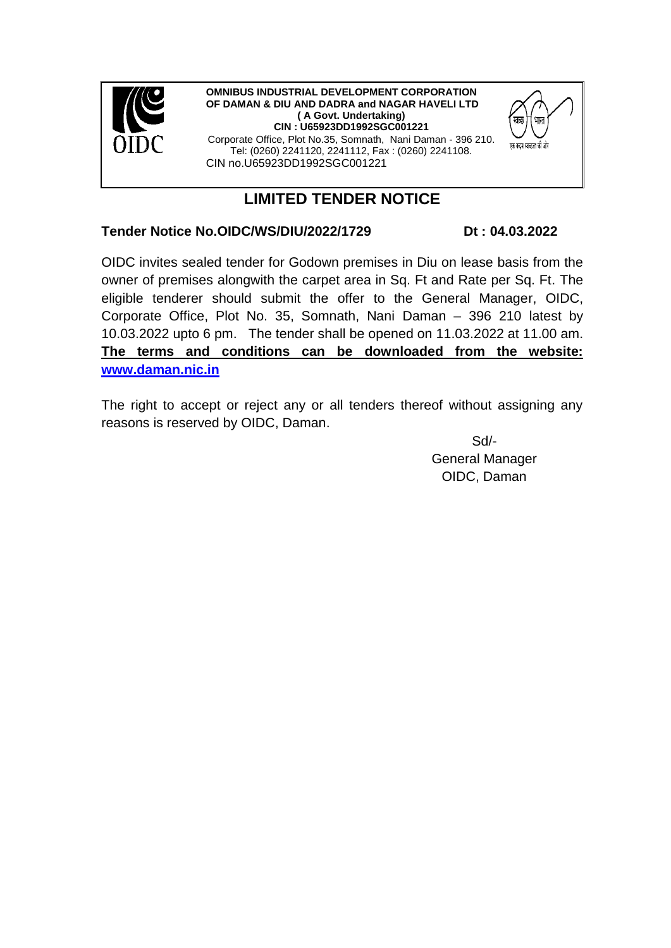

**OMNIBUS INDUSTRIAL DEVELOPMENT CORPORATION OF DAMAN & DIU AND DADRA and NAGAR HAVELI LTD ( A Govt. Undertaking) CIN : U65923DD1992SGC001221** Corporate Office, Plot No.35, Somnath, Nani Daman - 396 210. Tel: (0260) 2241120, 2241112, Fax : (0260) 2241108. CIN no.U65923DD1992SGC001221



## **Tender Notice No.OIDC/WS/DIU/2022/1729 Dt : 04.03.2022**

एक कदम स्वच्छता की ओर

OIDC invites sealed tender for Godown premises in Diu on lease basis from the owner of premises alongwith the carpet area in Sq. Ft and Rate per Sq. Ft. The eligible tenderer should submit the offer to the General Manager, OIDC, Corporate Office, Plot No. 35, Somnath, Nani Daman – 396 210 latest by 10.03.2022 upto 6 pm. The tender shall be opened on 11.03.2022 at 11.00 am. **The terms and conditions can be downloaded from the website: [www.daman.nic.in](http://www.daman.nic.in/)**

The right to accept or reject any or all tenders thereof without assigning any reasons is reserved by OIDC, Daman.

> Sd/- General Manager OIDC, Daman